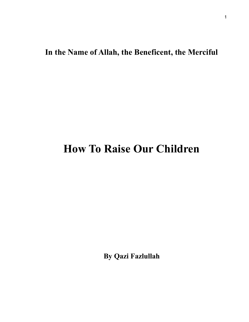## **In the Name of Allah, the Beneficent, the Merciful**

## **How To Raise Our Children**

**By Qazi Fazlullah**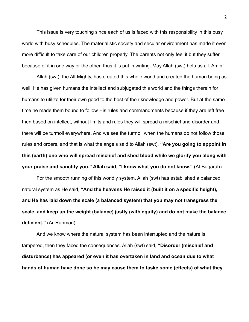This issue is very touching since each of us is faced with this responsibility in this busy world with busy schedules. The materialistic society and secular environment has made it even more difficult to take care of our children properly. The parents not only feel it but they suffer because of it in one way or the other, thus it is put in writing. May Allah (swt) help us all. Amin!

 Allah (swt), the All-Mighty, has created this whole world and created the human being as well. He has given humans the intellect and subjugated this world and the things therein for humans to utilize for their own good to the best of their knowledge and power. But at the same time he made them bound to follow His rules and commandments because if they are left free then based on intellect, without limits and rules they will spread a mischief and disorder and there will be turmoil everywhere. And we see the turmoil when the humans do not follow those rules and orders, and that is what the angels said to Allah (swt), **"Are you going to appoint in this (earth) one who will spread mischief and shed blood while we glorify you along with your praise and sanctify you." Allah said, "I know what you do not know."** (Al-Baqarah)

 For the smooth running of this worldly system, Allah (swt) has established a balanced natural system as He said, **"And the heavens He raised it (built it on a specific height), and He has laid down the scale (a balanced system) that you may not transgress the scale, and keep up the weight (balance) justly (with equity) and do not make the balance deficient."** (Ar-Rahman)

 And we know where the natural system has been interrupted and the nature is tampered, then they faced the consequences. Allah (swt) said, **"Disorder (mischief and disturbance) has appeared (or even it has overtaken in land and ocean due to what hands of human have done so he may cause them to taske some (effects) of what they**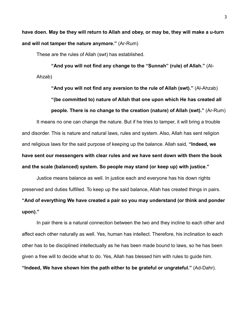**have doen. May be they will return to Allah and obey, or may be, they will make a u-turn and will not tamper the nature anymore."** (Ar-Rum)

These are the rules of Allah (swt) has established.

**"And you will not find any change to the "Sunnah" (rule) of Allah."** (Al-Ahzab)

**"And you will not find any aversion to the rule of Allah (swt)."** (Al-Ahzab) **"(be committed to) nature of Allah that one upon which He has created all people. There is no change to the creation (nature) of Allah (swt)."** (Ar-Rum)

It means no one can change the nature. But if he tries to tamper, it will bring a trouble and disorder. This is nature and natural laws, rules and system. Also, Allah has sent religion and religious laws for the said purpose of keeping up the balance. Allah said, **"Indeed, we have sent our messengers with clear rules and we have sent down with them the book and the scale (balanced) system. So people may stand (or keep up) with justice."** 

Justice means balance as well. In justice each and everyone has his down rights preserved and duties fulfilled. To keep up the said balance, Allah has created things in pairs. **"And of everything We have created a pair so you may understand (or think and ponder upon)."** 

 In pair there is a natural connection between the two and they incline to each other and affect each other naturally as well. Yes, human has intellect. Therefore, his inclination to each other has to be disciplined intellectually as he has been made bound to laws, so he has been given a free will to decide what to do. Yes, Allah has blessed him with rules to guide him. **"Indeed, We have shown him the path either to be grateful or ungrateful."** (Ad-Dahr).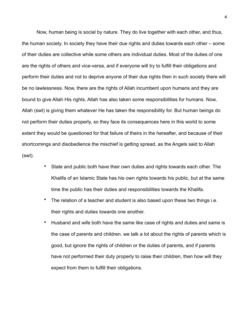Now, human being is social by nature. They do live together with each other, and thus, the human society. In society they have their due rights and duties towards each other – some of their duties are collective while some others are individual duties. Most of the duties of one are the rights of others and vice-versa, and if everyone will try to fulfill their obligations and perform their duties and not to deprive anyone of their due rights then in such society there will be no lawlessness. Now, there are the rights of Allah incumbent upon humans and they are bound to give Allah His rights. Allah has also taken some responsibilities for humans. Now, Allah (swt) is giving them whatever He has taken the responsibility for. But human beings do not perform their duties properly, so they face its consequences here in this world to some extent they would be questioned for that failure of theirs in the hereafter, and because of their shortcomings and disobedience the mischief is getting spread, as the Angels said to Allah (swt).

- State and public both have their own duties and rights towards each other. The Khalifa of an Islamic State has his own rights towards his public, but at the same time the public has their duties and responsibilities towards the Khalifa.
- The relation of a teacher and student is also based upon these two things i.e. their rights and duties towards one another.
- Husband and wife both have the same like case of rights and duties and same is the case of parents and children. we talk a lot about the rights of parents which is good, but ignore the rights of children or the duties of parents, and if parents have not performed their duty properly to raise their children, then how will they expect from them to fulfill their obligations.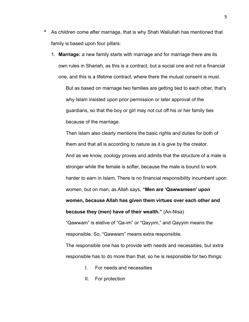- As children come after marriage, that is why Shah Waliullah has mentioned that family is based upon four pillars:
	- 1. **Marriage:** a new family starts with marriage and for marriage there are its own rules in Shariah, as this is a contract, but a social one and not a financial one, and this is a lifetime contract, where there the mutual consent is must.

But as based on marriage two families are getting tied to each other, that's why Islam insisted upon prior permission or later approval of the guardians, so that the boy or girl may not cut off his or her family ties because of the marriage.

Then Islam also clearly mentions the basic rights and duties for both of them and that all is according to nature as it is give by the creator. And as we know, zoology proves and admits that the structure of a male is stronger while the female is softer, because the male is bound to work harder to earn in Islam. There is no financial responsibility incumbent upon women, but on man, as Allah says, **"Men are 'Qawwameen' upon women, because Allah has given them virtues over each other and because they (men) have of their wealth."** (An-Nisa)

"Qawwam" is elative of "Qa-im" or "Qayyim," and Qayyim means the responsible. So, "Qawwam" means extra responsible.

The responsible one has to provide with needs and necessities, but extra responsible has to do more than that, so he is responsible for two things:

- I. For needs and necessities
- II. For protection

5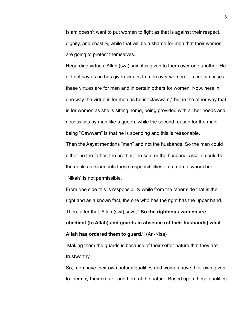Islam doesn't want to put women to fight as that is against their respect, dignity, and chastity, while that will be a shame for men that their women are going to protect themselves.

Regarding virtues, Allah (swt) said it is given to them over one another. He did not say as he has given virtues to men over women – in certain cases these virtues are for men and in certain others for women. Now, here in one way the virtue is for men as he is "Qawwam," but in the other way that is for women as she is sitting home, being provided with all her needs and necessities by man like a queen, while the second reason for the male being "Qawwam" is that he is spending and this is reasonable.

Then the Aayat mentions "men" and not the husbands. So the men could either be the father, the brother, the son, or the husband. Also, it could be the uncle as Islam puts these responsibilities on a man to whom her "Nikah" is not permissible.

From one side this is responsibility while from the other side that is the right and as a known fact, the one who has the right has the upper hand. Then, after that, Allah (swt) says, **"So the righteous women are obedient (to Allah) and guards in absence (of their husbands) what Allah has ordered them to guard."** (An-Nisa)

 Making them the guards is because of their softer nature that they are trustworthy.

So, men have their own natural qualities and women have their own given to them by their creator and Lord of the nature. Based upon those qualities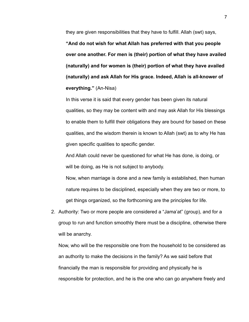they are given responsibilities that they have to fulfill. Allah (swt) says,

**"And do not wish for what Allah has preferred with that you people over one another. For men is (their) portion of what they have availed (naturally) and for women is (their) portion of what they have availed (naturally) and ask Allah for His grace. Indeed, Allah is all-knower of everything."** (An-Nisa)

In this verse it is said that every gender has been given its natural qualities, so they may be content with and may ask Allah for His blessings to enable them to fulfill their obligations they are bound for based on these qualities, and the wisdom therein is known to Allah (swt) as to why He has given specific qualities to specific gender.

And Allah could never be questioned for what He has done, is doing, or will be doing, as He is not subject to anybody.

Now, when marriage is done and a new family is established, then human nature requires to be disciplined, especially when they are two or more, to get things organized, so the forthcoming are the principles for life.

2. Authority: Two or more people are considered a "Jama'at" (group), and for a group to run and function smoothly there must be a discipline, otherwise there will be anarchy.

Now, who will be the responsible one from the household to be considered as an authority to make the decisions in the family? As we said before that financially the man is responsible for providing and physically he is responsible for protection, and he is the one who can go anywhere freely and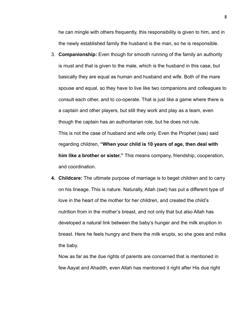he can mingle with others frequently, this responsibility is given to him, and in the newly established family the husband is the man, so he is responsible.

- 3. **Companionship:** Even though for smooth running of the family an authority is must and that is given to the male, which is the husband in this case, but basically they are equal as human and husband and wife. Both of the mare spouse and equal, so they have to live like two companions and colleagues to consult each other, and to co-operate. That is just like a game where there is a captain and other players, but still they work and play as a team, even though the captain has an authoritarian role, but he does not rule. This is not the case of husband and wife only. Even the Prophet (sas) said regarding children, **"When your child is 10 years of age, then deal with him like a brother or sister."** This means company, friendship, cooperation, and coordination.
- **4. Childcare:** The ultimate purpose of marriage is to beget children and to carry on his lineage. This is nature. Naturally, Allah (swt) has put a different type of love in the heart of the mother for her children, and created the child's nutrition from in the mother's breast, and not only that but also Allah has developed a natural link between the baby's hunger and the milk eruption in breast. Here he feels hungry and there the milk erupts, so she goes and milks the baby.

Now as far as the due rights of parents are concerned that is mentioned in few Aayat and Ahadith, even Allah has mentioned it right after His due right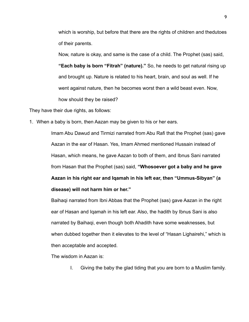which is worship, but before that there are the rights of children and thedutoes of their parents.

Now, nature is okay, and same is the case of a child. The Prophet (sas) said,

**"Each baby is born "Fitrah" (nature)."** So, he needs to get natural rising up and brought up. Nature is related to his heart, brain, and soul as well. If he went against nature, then he becomes worst then a wild beast even. Now, how should they be raised?

They have their due rights, as follows:

1. When a baby is born, then Aazan may be given to his or her ears.

Imam Abu Dawud and Tirmizi narrated from Abu Rafi that the Prophet (sas) gave Aazan in the ear of Hasan. Yes, Imam Ahmed mentioned Hussain instead of Hasan, which means, he gave Aazan to both of them, and Ibnus Sani narrated from Hasan that the Prophet (sas) said, **"Whosoever got a baby and he gave Aazan in his right ear and Iqamah in his left ear, then "Ummus-Sibyan" (a disease) will not harm him or her."**

Baihaqi narrated from Ibni Abbas that the Prophet (sas) gave Aazan in the right ear of Hasan and Iqamah in his left ear. Also, the hadith by Ibnus Sani is also narrated by Baihaqi, even though both Ahadith have some weaknesses, but when dubbed together then it elevates to the level of "Hasan Lighairehi," which is then acceptable and accepted.

The wisdom in Aazan is:

I. Giving the baby the glad tiding that you are born to a Muslim family.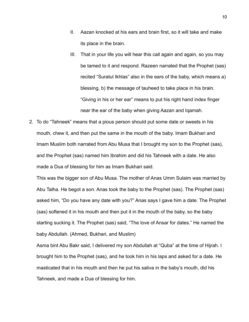- II. Aazan knocked at his ears and brain first, so it will take and make its place in the brain.
- III. That in your life you will hear this call again and again, so you may be tamed to it and respond. Razeen narrated that the Prophet (sas) recited "Suratul Ikhlas" also in the ears of the baby, which means a) blessing, b) the message of tauheed to take place in his brain. "Giving in his or her ear" means to put his right hand index finger near the ear of the baby when giving Aazan and Iqamah.
- 2. To do "Tahneek" means that a pious person should put some date or sweets in his mouth, chew it, and then put the same in the mouth of the baby. Imam Bukhari and Imam Muslim both narrated from Abu Musa that I brought my son to the Prophet (sas), and the Prophet (sas) named him Ibrahim and did his Tahneek with a date. He also made a Dua of blessing for him as Imam Bukhari said.

This was the bigger son of Abu Musa. The mother of Anas Umm Sulaim was married by Abu Talha. He begot a son. Anas took the baby to the Prophet (sas). The Prophet (sas) asked him, "Do you have any date with you?" Anas says I gave him a date. The Prophet (sas) softened it in his mouth and then put it in the mouth of the baby, so the baby starting sucking it. The Prophet (sas) said, "The love of Ansar for dates." He named the baby Abdullah. (Ahmed, Bukhari, and Muslim)

Asma bint Abu Bakr said, I delivered my son Abdullah at "Quba" at the time of Hijrah. I brought him to the Prophet (sas), and he took him in his laps and asked for a date. He masticated that in his mouth and then he put his saliva in the baby's mouth, did his Tahneek, and made a Dua of blessing for him.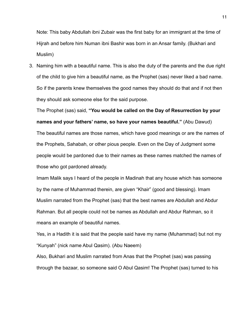Note: This baby Abdullah ibni Zubair was the first baby for an immigrant at the time of Hijrah and before him Numan ibni Bashir was born in an Ansar family. (Bukhari and Muslim)

3. Naming him with a beautiful name. This is also the duty of the parents and the due right of the child to give him a beautiful name, as the Prophet (sas) never liked a bad name. So if the parents knew themselves the good names they should do that and if not then they should ask someone else for the said purpose.

The Prophet (sas) said, **"You would be called on the Day of Resurrection by your names and your fathers' name, so have your names beautiful."** (Abu Dawud) The beautiful names are those names, which have good meanings or are the names of the Prophets, Sahabah, or other pious people. Even on the Day of Judgment some people would be pardoned due to their names as these names matched the names of those who got pardoned already.

Imam Malik says I heard of the people in Madinah that any house which has someone by the name of Muhammad therein, are given "Khair" (good and blessing). Imam Muslim narrated from the Prophet (sas) that the best names are Abdullah and Abdur Rahman. But all people could not be names as Abdullah and Abdur Rahman, so it means an example of beautiful names.

Yes, in a Hadith it is said that the people said have my name (Muhammad) but not my "Kunyah" (nick name Abul Qasim). (Abu Naeem)

Also, Bukhari and Muslim narrated from Anas that the Prophet (sas) was passing through the bazaar, so someone said O Abul Qasim! The Prophet (sas) turned to his

11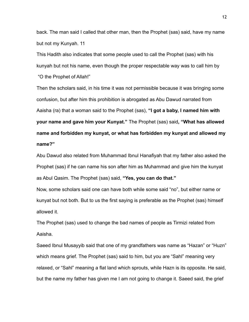back. The man said I called that other man, then the Prophet (sas) said, have my name but not my Kunyah. 11

This Hadith also indicates that some people used to call the Prophet (sas) with his kunyah but not his name, even though the proper respectable way was to call him by "O the Prophet of Allah!"

Then the scholars said, in his time it was not permissible because it was bringing some confusion, but after him this prohibition is abrogated as Abu Dawud narrated from Aaisha (ra) that a woman said to the Prophet (sas), **"I got a baby, I named him with your name and gave him your Kunyat."** The Prophet (sas) said**, "What has allowed name and forbidden my kunyat, or what has forbidden my kunyat and allowed my name?"**

Abu Dawud also related from Muhammad Ibnul Hanafiyah that my father also asked the Prophet (sas) if he can name his son after him as Muhammad and give him the kunyat as Abul Qasim. The Prophet (sas) said, **"Yes, you can do that."**

Now, some scholars said one can have both while some said "no", but either name or kunyat but not both. But to us the first saying is preferable as the Prophet (sas) himself allowed it.

The Prophet (sas) used to change the bad names of people as Tirmizi related from Aaisha.

Saeed Ibnul Musayyib said that one of my grandfathers was name as "Hazan" or "Huzn" which means grief. The Prophet (sas) said to him, but you are "Sahl" meaning very relaxed, or "Sahl" meaning a flat land which sprouts, while Hazn is its opposite. He said, but the name my father has given me I am not going to change it. Saeed said, the grief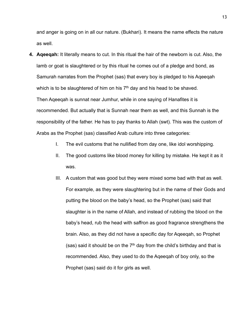and anger is going on in all our nature. (Bukhari). It means the name effects the nature as well.

- **4. Aqeeqah:** It literally means to cut. In this ritual the hair of the newborn is cut. Also, the lamb or goat is slaughtered or by this ritual he comes out of a pledge and bond, as Samurah narrates from the Prophet (sas) that every boy is pledged to his Aqeeqah which is to be slaughtered of him on his  $7<sup>th</sup>$  day and his head to be shaved. Then Aqeeqah is sunnat near Jumhur, while in one saying of Hanafites it is recommended. But actually that is Sunnah near them as well, and this Sunnah is the responsibility of the father. He has to pay thanks to Allah (swt). This was the custom of Arabs as the Prophet (sas) classified Arab culture into three categories:
	- I. The evil customs that he nullified from day one, like idol worshipping.
	- II. The good customs like blood money for killing by mistake. He kept it as it was.
	- III. A custom that was good but they were mixed some bad with that as well. For example, as they were slaughtering but in the name of their Gods and putting the blood on the baby's head, so the Prophet (sas) said that slaughter is in the name of Allah, and instead of rubbing the blood on the baby's head, rub the head with saffron as good fragrance strengthens the brain. Also, as they did not have a specific day for Aqeeqah, so Prophet (sas) said it should be on the  $7<sup>th</sup>$  day from the child's birthday and that is recommended. Also, they used to do the Aqeeqah of boy only, so the Prophet (sas) said do it for girls as well.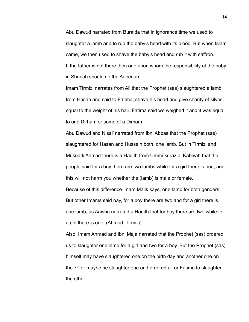Abu Dawud narrated from Buraida that in ignorance time we used to slaughter a lamb and to rub the baby's head with its blood. But when Islam came, we then used to shave the baby's head and rub it with saffron. If the father is not there then one upon whom the responsibility of the baby in Shariah should do the Aqeeqah.

Imam Tirmizi narrates from Ali that the Prophet (sas) slaughtered a lamb from Hasan and said to Fatima, shave his head and give charity of silver equal to the weight of his hair. Fatima said we weighed it and it was equal to one Dirham or some of a Dirham.

Abu Dawud and Nisai' narrated from Ibni Abbas that the Prophet (sas) slaughtered for Hasan and Hussain both, one lamb. But in Tirmizi and Musnadi Ahmad there is a Hadith from Ummi-kuraz al Kabiyah that the people said for a boy there are two lambs while for a girl there is one, and this will not harm you whether the (lamb) is male or female.

Because of this difference Imam Malik says, one lamb for both genders. But other Imams said nay, for a boy there are two and for a girl there is one lamb, as Aaisha narrated a Hadith that for boy there are two while for a girl there is one. (Ahmad, Tirmizi)

Also, Imam Ahmad and Ibni Maja narrated that the Prophet (sas) ordered us to slaughter one lamb for a girl and two for a boy. But the Prophet (sas) himself may have slaughtered one on the birth day and another one on the  $7<sup>th</sup>$  or maybe he slaughter one and ordered ali or Fatima to slaughter the other.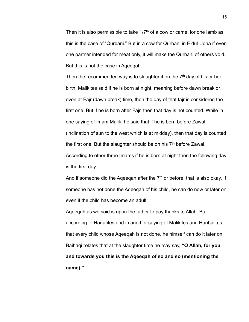Then it is also permissible to take  $1/7<sup>th</sup>$  of a cow or camel for one lamb as this is the case of "Qurbani." But in a cow for Qurbani in Eidul Udha if even one partner intended for meat only, it will make the Qurbani of others void. But this is not the case in Aqeeqah.

Then the recommended way is to slaughter it on the  $7<sup>th</sup>$  day of his or her birth, Malikites said if he is born at night, meaning before dawn break or even at Fajr (dawn break) time, then the day of that fajr is considered the first one. But if he is born after Fajr, then that day is not counted. While in one saying of Imam Malik, he said that if he is born before Zawal (inclination of sun to the west which is at midday), then that day is counted the first one. But the slaughter should be on his  $7<sup>th</sup>$  before Zawal. According to other three Imams if he is born at night then the following day

is the first day.

And if someone did the Aqeeqah after the  $7<sup>th</sup>$  or before, that is also okay. If someone has not done the Aqeeqah of his child, he can do now or later on even if the child has become an adult.

Aqeeqah as we said is upon the father to pay thanks to Allah. But according to Hanafites and in another saying of Malikites and Hanbalites, that every child whose Aqeeqah is not done, he himself can do it later on. Baihaqi relates that at the slaughter time he may say, **"O Allah, for you and towards you this is the Aqeeqah of so and so (mentioning the name)."**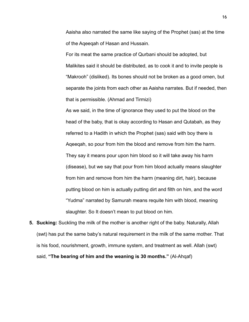Aaisha also narrated the same like saying of the Prophet (sas) at the time of the Aqeeqah of Hasan and Hussain.

For its meat the same practice of Qurbani should be adopted, but Malikites said it should be distributed, as to cook it and to invite people is "Makrooh" (disliked). Its bones should not be broken as a good omen, but separate the joints from each other as Aaisha narrates. But if needed, then that is permissible. (Ahmad and Tirmizi)

As we said, in the time of ignorance they used to put the blood on the head of the baby, that is okay according to Hasan and Qutabah, as they referred to a Hadith in which the Prophet (sas) said with boy there is Aqeeqah, so pour from him the blood and remove from him the harm. They say it means pour upon him blood so it will take away his harm (disease), but we say that pour from him blood actually means slaughter from him and remove from him the harm (meaning dirt, hair), because putting blood on him is actually putting dirt and filth on him, and the word "Yudma" narrated by Samurah means requite him with blood, meaning slaughter. So It doesn't mean to put blood on him.

**5. Sucking:** Suckling the milk of the mother is another right of the baby. Naturally, Allah (swt) has put the same baby's natural requirement in the milk of the same mother. That is his food, nourishment, growth, immune system, and treatment as well. Allah (swt) said, **"The bearing of him and the weaning is 30 months."** (Al-Ahqaf)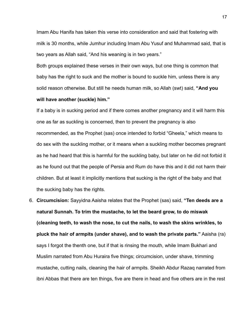Imam Abu Hanifa has taken this verse into consideration and said that fostering with milk is 30 months, while Jumhur including Imam Abu Yusuf and Muhammad said, that is two years as Allah said, "And his weaning is in two years."

Both groups explained these verses in their own ways, but one thing is common that baby has the right to suck and the mother is bound to suckle him, unless there is any solid reason otherwise. But still he needs human milk, so Allah (swt) said, **"And you will have another (suckle) him."** 

If a baby is in sucking period and if there comes another pregnancy and it will harm this one as far as suckling is concerned, then to prevent the pregnancy is also recommended, as the Prophet (sas) once intended to forbid "Gheela," which means to do sex with the suckling mother, or it means when a suckling mother becomes pregnant as he had heard that this is harmful for the suckling baby, but later on he did not forbid it as he found out that the people of Persia and Rum do have this and it did not harm their children. But at least it implicitly mentions that sucking is the right of the baby and that the sucking baby has the rights.

6. **Circumcision:** Sayyidna Aaisha relates that the Prophet (sas) said, **"Ten deeds are a natural Sunnah. To trim the mustache, to let the beard grow, to do miswak (cleaning teeth, to wash the nose, to cut the nails, to wash the skins wrinkles, to pluck the hair of armpits (under shave), and to wash the private parts."** Aaisha (ra) says I forgot the thenth one, but if that is rinsing the mouth, while Imam Bukhari and Muslim narrated from Abu Huraira five things; circumcision, under shave, trimming mustache, cutting nails, cleaning the hair of armpits. Sheikh Abdur Razaq narrated from ibni Abbas that there are ten things, five are there in head and five others are in the rest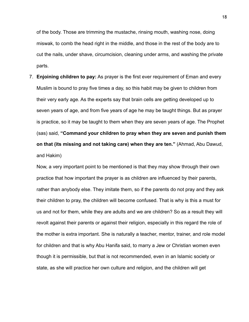of the body. Those are trimming the mustache, rinsing mouth, washing nose, doing miswak, to comb the head right in the middle, and those in the rest of the body are to cut the nails, under shave, circumcision, cleaning under arms, and washing the private parts.

7. **Enjoining children to pay:** As prayer is the first ever requirement of Eman and every Muslim is bound to pray five times a day, so this habit may be given to children from their very early age. As the experts say that brain cells are getting developed up to seven years of age, and from five years of age he may be taught things. But as prayer is practice, so it may be taught to them when they are seven years of age. The Prophet (sas) said, **"Command your children to pray when they are seven and punish them on that (its missing and not taking care) when they are ten."** (Ahmad, Abu Dawud, and Hakim)

Now, a very important point to be mentioned is that they may show through their own practice that how important the prayer is as children are influenced by their parents, rather than anybody else. They imitate them, so if the parents do not pray and they ask their children to pray, the children will become confused. That is why is this a must for us and not for them, while they are adults and we are children? So as a result they will revolt against their parents or against their religion, especially in this regard the role of the mother is extra important. She is naturally a teacher, mentor, trainer, and role model for children and that is why Abu Hanifa said, to marry a Jew or Christian women even though it is permissible, but that is not recommended, even in an Islamic society or state, as she will practice her own culture and religion, and the children will get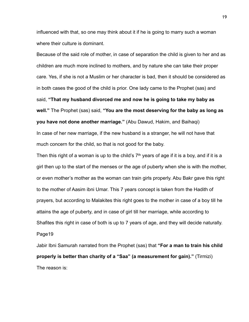influenced with that, so one may think about it if he is going to marry such a woman where their culture is dominant.

Because of the said role of mother, in case of separation the child is given to her and as children are much more inclined to mothers, and by nature she can take their proper care. Yes, if she is not a Muslim or her character is bad, then it should be considered as in both cases the good of the child is prior. One lady came to the Prophet (sas) and said, **"That my husband divorced me and now he is going to take my baby as well."** The Prophet (sas) said, **"You are the most deserving for the baby as long as you have not done another marriage."** (Abu Dawud, Hakim, and Baihaqi) In case of her new marriage, if the new husband is a stranger, he will not have that much concern for the child, so that is not good for the baby.

Then this right of a woman is up to the child's  $7<sup>th</sup>$  years of age if it is a boy, and if it is a girl then up to the start of the menses or the age of puberty when she is with the mother, or even mother's mother as the woman can train girls properly. Abu Bakr gave this right to the mother of Aasim ibni Umar. This 7 years concept is taken from the Hadith of prayers, but according to Malakites this right goes to the mother in case of a boy till he attains the age of puberty, and in case of girl till her marriage, while according to Shafites this right in case of both is up to 7 years of age, and they will decide naturally. Page19

Jabir Ibni Samurah narrated from the Prophet (sas) that **"For a man to train his child properly is better than charity of a "Saa" (a measurement for gain)."** (Tirmizi) The reason is: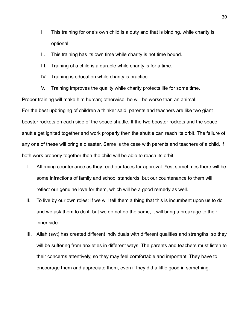- I. This training for one's own child is a duty and that is binding, while charity is optional.
- II. This training has its own time while charity is not time bound.
- III. Training of a child is a durable while charity is for a time.
- IV. Training is education while charity is practice.
- V. Training improves the quality while charity protects life for some time.

Proper training will make him human; otherwise, he will be worse than an animal. For the best upbringing of children a thinker said, parents and teachers are like two giant booster rockets on each side of the space shuttle. If the two booster rockets and the space shuttle get ignited together and work properly then the shuttle can reach its orbit. The failure of any one of these will bring a disaster. Same is the case with parents and teachers of a child, if both work properly together then the child will be able to reach its orbit.

- I. Affirming countenance as they read our faces for approval. Yes, sometimes there will be some infractions of family and school standards, but our countenance to them will reflect our genuine love for them, which will be a good remedy as well.
- II. To live by our own roles: If we will tell them a thing that this is incumbent upon us to do and we ask them to do it, but we do not do the same, it will bring a breakage to their inner side.
- III. Allah (swt) has created different individuals with different qualities and strengths, so they will be suffering from anxieties in different ways. The parents and teachers must listen to their concerns attentively, so they may feel comfortable and important. They have to encourage them and appreciate them, even if they did a little good in something.

20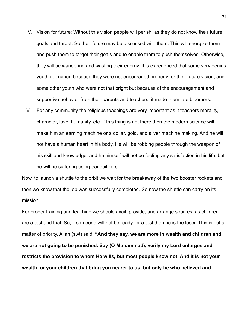- IV. Vision for future: Without this vision people will perish, as they do not know their future goals and target. So their future may be discussed with them. This will energize them and push them to target their goals and to enable them to push themselves. Otherwise, they will be wandering and wasting their energy. It is experienced that some very genius youth got ruined because they were not encouraged properly for their future vision, and some other youth who were not that bright but because of the encouragement and supportive behavior from their parents and teachers, it made them late bloomers.
- V. For any community the religious teachings are very important as it teachers morality, character, love, humanity, etc. if this thing is not there then the modern science will make him an earning machine or a dollar, gold, and silver machine making. And he will not have a human heart in his body. He will be robbing people through the weapon of his skill and knowledge, and he himself will not be feeling any satisfaction in his life, but he will be suffering using tranquilizers.

Now, to launch a shuttle to the orbit we wait for the breakaway of the two booster rockets and then we know that the job was successfully completed. So now the shuttle can carry on its mission.

For proper training and teaching we should avail, provide, and arrange sources, as children are a test and trial. So, if someone will not be ready for a test then he is the loser. This is but a matter of priority. Allah (swt) said, **"And they say, we are more in wealth and children and we are not going to be punished. Say (O Muhammad), verily my Lord enlarges and restricts the provision to whom He wills, but most people know not. And it is not your wealth, or your children that bring you nearer to us, but only he who believed and**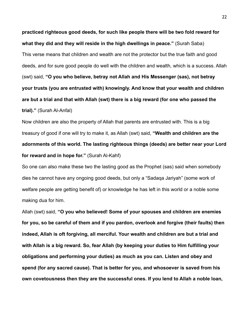**practiced righteous good deeds, for such like people there will be two fold reward for what they did and they will reside in the high dwellings in peace."** (Surah Saba) This verse means that children and wealth are not the protector but the true faith and good deeds, and for sure good people do well with the children and wealth, which is a success. Allah (swt) said, **"O you who believe, betray not Allah and His Messenger (sas), not betray your trusts (you are entrusted with) knowingly. And know that your wealth and children are but a trial and that with Allah (swt) there is a big reward (for one who passed the trial)."** (Surah Al-Anfal)

Now children are also the property of Allah that parents are entrusted with. This is a big treasury of good if one will try to make it, as Allah (swt) said, **"Wealth and children are the adornments of this world. The lasting righteous things (deeds) are better near your Lord for reward and in hope for."** (Surah Al-Kahf)

So one can also make these two the lasting good as the Prophet (sas) said when somebody dies he cannot have any ongoing good deeds, but only a "Sadaqa Jariyah" (some work of welfare people are getting benefit of) or knowledge he has left in this world or a noble some making dua for him.

Allah (swt) said, **"O you who believed! Some of your spouses and children are enemies for you, so be careful of them and if you pardon, overlook and forgive (their faults) then indeed, Allah is oft forgiving, all merciful. Your wealth and children are but a trial and with Allah is a big reward. So, fear Allah (by keeping your duties to Him fulfilling your obligations and performing your duties) as much as you can. Listen and obey and spend (for any sacred cause). That is better for you, and whosoever is saved from his own covetousness then they are the successful ones. If you lend to Allah a noble loan,**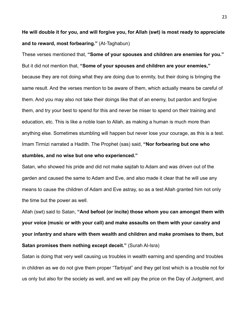**He will double it for you, and will forgive you, for Allah (swt) is most ready to appreciate and to reward, most forbearing."** (At-Taghabun)

These verses mentioned that, **"Some of your spouses and children are enemies for you."** But it did not mention that, **"Some of your spouses and children are your enemies,"** because they are not doing what they are doing due to enmity, but their doing is bringing the same result. And the verses mention to be aware of them, which actually means be careful of them. And you may also not take their doings like that of an enemy, but pardon and forgive them, and try your best to spend for this and never be miser to spend on their training and education, etc. This is like a noble loan to Allah, as making a human is much more than anything else. Sometimes stumbling will happen but never lose your courage, as this is a test. Imam Tirmizi narrated a Hadith. The Prophet (sas) said, **"Nor forbearing but one who** 

## **stumbles, and no wise but one who experienced."**

Satan, who showed his pride and did not make sajdah to Adam and was driven out of the garden and caused the same to Adam and Eve, and also made it clear that he will use any means to cause the children of Adam and Eve astray, so as a test Allah granted him not only the time but the power as well.

Allah (swt) said to Satan, **"And befool (or incite) those whom you can amongst them with your voice (music or with your call) and make assaults on them with your cavalry and your infantry and share with them wealth and children and make promises to them, but Satan promises them nothing except deceit."** (Surah Al-Isra)

Satan is doing that very well causing us troubles in wealth earning and spending and troubles in children as we do not give them proper "Tarbiyat" and they get lost which is a trouble not for us only but also for the society as well, and we will pay the price on the Day of Judgment, and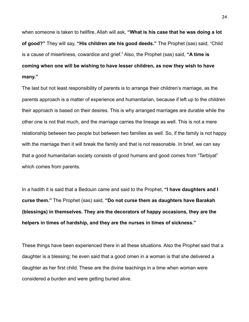when someone is taken to hellfire, Allah will ask, **"What is his case that he was doing a lot of good?"** They will say, **"His children ate his good deeds."** The Prophet (sas) said, "Child is a cause of miserliness, cowardice and grief." Also, the Prophet (sas) said, **"A time is coming when one will be wishing to have lesser children, as now they wish to have many."**

The last but not least responsibility of parents is to arrange their children's marriage, as the parents approach is a matter of experience and humanitarian, because if left up to the children their approach is based on their desires. This is why arranged marriages are durable while the other one is not that much, and the marriage carries the lineage as well. This is not a mere relationship between two people but between two families as well. So, if the family is not happy with the marriage then it will break the family and that is not reasonable. In brief, we can say that a good humanitarian society consists of good humans and good comes from "Tarbiyat" which comes from parents.

In a hadith it is said that a Bedouin came and said to the Prophet, **"I have daughters and I curse them."** The Prophet (sas) said, **"Do not curse them as daughters have Barakah (blessings) in themselves. They are the decorators of happy occasions, they are the helpers in times of hardship, and they are the nurses in times of sickness."**

These things have been experienced there in all these situations. Also the Prophet said that a daughter is a blessing; he even said that a good omen in a woman is that she delivered a daughter as her first child. These are the divine teachings in a time when woman were considered a burden and were getting buried alive.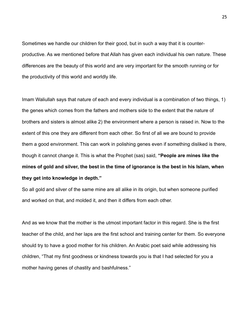Sometimes we handle our children for their good, but in such a way that it is counterproductive. As we mentioned before that Allah has given each individual his own nature. These differences are the beauty of this world and are very important for the smooth running or for the productivity of this world and worldly life.

Imam Waliullah says that nature of each and every individual is a combination of two things, 1) the genes which comes from the fathers and mothers side to the extent that the nature of brothers and sisters is almost alike 2) the environment where a person is raised in. Now to the extent of this one they are different from each other. So first of all we are bound to provide them a good environment. This can work in polishing genes even if something disliked is there, though it cannot change it. This is what the Prophet (sas) said, **"People are mines like the mines of gold and silver, the best in the time of ignorance is the best in his Islam, when they get into knowledge in depth."** 

So all gold and silver of the same mine are all alike in its origin, but when someone purified and worked on that, and molded it, and then it differs from each other.

And as we know that the mother is the utmost important factor in this regard. She is the first teacher of the child, and her laps are the first school and training center for them. So everyone should try to have a good mother for his children. An Arabic poet said while addressing his children, "That my first goodness or kindness towards you is that I had selected for you a mother having genes of chastity and bashfulness."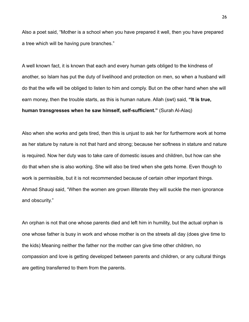Also a poet said, "Mother is a school when you have prepared it well, then you have prepared a tree which will be having pure branches."

A well known fact, it is known that each and every human gets obliged to the kindness of another, so Islam has put the duty of livelihood and protection on men, so when a husband will do that the wife will be obliged to listen to him and comply. But on the other hand when she will earn money, then the trouble starts, as this is human nature. Allah (swt) said, **"It is true, human transgresses when he saw himself, self-sufficient."** (Surah Al-Alaq)

Also when she works and gets tired, then this is unjust to ask her for furthermore work at home as her stature by nature is not that hard and strong; because her softness in stature and nature is required. Now her duty was to take care of domestic issues and children, but how can she do that when she is also working. She will also be tired when she gets home. Even though to work is permissible, but it is not recommended because of certain other important things. Ahmad Shauqi said, "When the women are grown illiterate they will suckle the men ignorance and obscurity."

An orphan is not that one whose parents died and left him in humility, but the actual orphan is one whose father is busy in work and whose mother is on the streets all day (does give time to the kids) Meaning neither the father nor the mother can give time other children, no compassion and love is getting developed between parents and children, or any cultural things are getting transferred to them from the parents.

26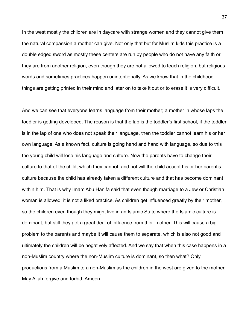In the west mostly the children are in daycare with strange women and they cannot give them the natural compassion a mother can give. Not only that but for Muslim kids this practice is a double edged sword as mostly these centers are run by people who do not have any faith or they are from another religion, even though they are not allowed to teach religion, but religious words and sometimes practices happen unintentionally. As we know that in the childhood things are getting printed in their mind and later on to take it out or to erase it is very difficult.

And we can see that everyone learns language from their mother; a mother in whose laps the toddler is getting developed. The reason is that the lap is the toddler's first school, if the toddler is in the lap of one who does not speak their language, then the toddler cannot learn his or her own language. As a known fact, culture is going hand and hand with language, so due to this the young child will lose his language and culture. Now the parents have to change their culture to that of the child, which they cannot, and not will the child accept his or her parent's culture because the child has already taken a different culture and that has become dominant within him. That is why Imam Abu Hanifa said that even though marriage to a Jew or Christian woman is allowed, it is not a liked practice. As children get influenced greatly by their mother, so the children even though they might live in an Islamic State where the Islamic culture is dominant, but still they get a great deal of influence from their mother. This will cause a big problem to the parents and maybe it will cause them to separate, which is also not good and ultimately the children will be negatively affected. And we say that when this case happens in a non-Muslim country where the non-Muslim culture is dominant, so then what? Only productions from a Muslim to a non-Muslim as the children in the west are given to the mother. May Allah forgive and forbid, Ameen.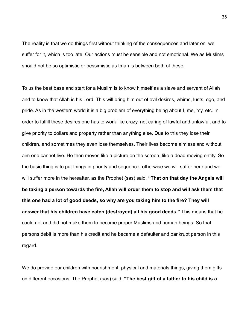The reality is that we do things first without thinking of the consequences and later on we suffer for it, which is too late. Our actions must be sensible and not emotional. We as Muslims should not be so optimistic or pessimistic as Iman is between both of these.

To us the best base and start for a Muslim is to know himself as a slave and servant of Allah and to know that Allah is his Lord. This will bring him out of evil desires, whims, lusts, ego, and pride. As in the western world it is a big problem of everything being about I, me, my, etc. In order to fulfill these desires one has to work like crazy, not caring of lawful and unlawful, and to give priority to dollars and property rather than anything else. Due to this they lose their children, and sometimes they even lose themselves. Their lives become aimless and without aim one cannot live. He then moves like a picture on the screen, like a dead moving entity. So the basic thing is to put things in priority and sequence, otherwise we will suffer here and we will suffer more in the hereafter, as the Prophet (sas) said, **"That on that day the Angels will be taking a person towards the fire, Allah will order them to stop and will ask them that this one had a lot of good deeds, so why are you taking him to the fire? They will answer that his children have eaten (destroyed) all his good deeds."** This means that he could not and did not make them to become proper Muslims and human beings. So that persons debit is more than his credit and he became a defaulter and bankrupt person in this regard.

We do provide our children with nourishment, physical and materials things, giving them gifts on different occasions. The Prophet (sas) said, **"The best gift of a father to his child is a**